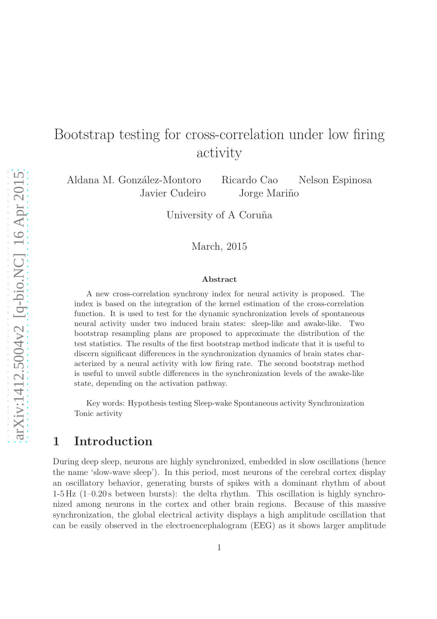# Bootstrap testing for cross-correlation under low firing activity

Aldana M. González-Montoro Ricardo Cao Nelson Espinosa Javier Cudeiro Jorge Mariño

University of A Coruña

March, 2015

#### Abstract

A new cross-correlation synchrony index for neural activity is proposed. The index is based on the integration of the kernel estimation of the cross-correlation function. It is used to test for the dynamic synchronization levels of spontaneous neural activity under two induced brain states: sleep-like and awake-like. Two bootstrap resampling plans are proposed to approximate the distribution of the test statistics. The results of the first bootstrap method indicate that it is useful to discern significant differences in the synchronization dynamics of brain states characterized by a neural activity with low firing rate. The second bootstrap method is useful to unveil subtle differences in the synchronization levels of the awake-like state, depending on the activation pathway.

Key words: Hypothesis testing Sleep-wake Spontaneous activity Synchronization Tonic activity

### 1 Introduction

During deep sleep, neurons are highly synchronized, embedded in slow oscillations (hence the name 'slow-wave sleep'). In this period, most neurons of the cerebral cortex display an oscillatory behavior, generating bursts of spikes with a dominant rhythm of about 1-5 Hz (1–0.20 s between bursts): the delta rhythm. This oscillation is highly synchronized among neurons in the cortex and other brain regions. Because of this massive synchronization, the global electrical activity displays a high amplitude oscillation that can be easily observed in the electroencephalogram (EEG) as it shows larger amplitude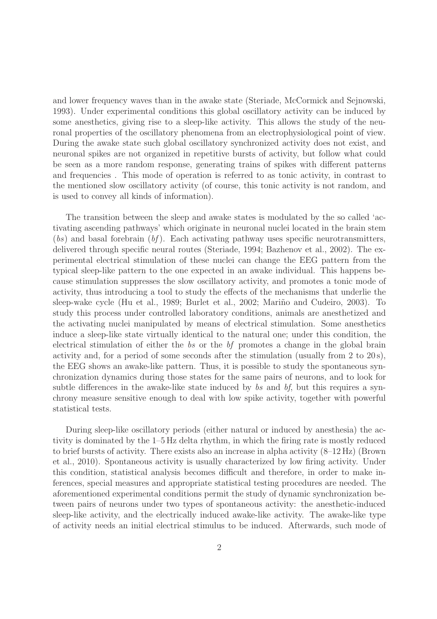and lower frequency waves than in the awake state (Steriade, McCormick and Sejnowski, 1993). Under experimental conditions this global oscillatory activity can be induced by some anesthetics, giving rise to a sleep-like activity. This allows the study of the neuronal properties of the oscillatory phenomena from an electrophysiological point of view. During the awake state such global oscillatory synchronized activity does not exist, and neuronal spikes are not organized in repetitive bursts of activity, but follow what could be seen as a more random response, generating trains of spikes with different patterns and frequencies . This mode of operation is referred to as tonic activity, in contrast to the mentioned slow oscillatory activity (of course, this tonic activity is not random, and is used to convey all kinds of information).

The transition between the sleep and awake states is modulated by the so called 'activating ascending pathways' which originate in neuronal nuclei located in the brain stem  $(bs)$  and basal forebrain  $(bf)$ . Each activating pathway uses specific neurotransmitters, delivered through specific neural routes (Steriade, 1994; Bazhenov et al., 2002). The experimental electrical stimulation of these nuclei can change the EEG pattern from the typical sleep-like pattern to the one expected in an awake individual. This happens because stimulation suppresses the slow oscillatory activity, and promotes a tonic mode of activity, thus introducing a tool to study the effects of the mechanisms that underlie the sleep-wake cycle (Hu et al., 1989; Burlet et al., 2002; Mariño and Cudeiro, 2003). To study this process under controlled laboratory conditions, animals are anesthetized and the activating nuclei manipulated by means of electrical stimulation. Some anesthetics induce a sleep-like state virtually identical to the natural one; under this condition, the electrical stimulation of either the bs or the bf promotes a change in the global brain activity and, for a period of some seconds after the stimulation (usually from 2 to  $20 \text{s}$ ), the EEG shows an awake-like pattern. Thus, it is possible to study the spontaneous synchronization dynamics during those states for the same pairs of neurons, and to look for subtle differences in the awake-like state induced by bs and  $bf$ , but this requires a synchrony measure sensitive enough to deal with low spike activity, together with powerful statistical tests.

During sleep-like oscillatory periods (either natural or induced by anesthesia) the activity is dominated by the 1–5 Hz delta rhythm, in which the firing rate is mostly reduced to brief bursts of activity. There exists also an increase in alpha activity (8–12 Hz) (Brown et al., 2010). Spontaneous activity is usually characterized by low firing activity. Under this condition, statistical analysis becomes difficult and therefore, in order to make inferences, special measures and appropriate statistical testing procedures are needed. The aforementioned experimental conditions permit the study of dynamic synchronization between pairs of neurons under two types of spontaneous activity: the anesthetic-induced sleep-like activity, and the electrically induced awake-like activity. The awake-like type of activity needs an initial electrical stimulus to be induced. Afterwards, such mode of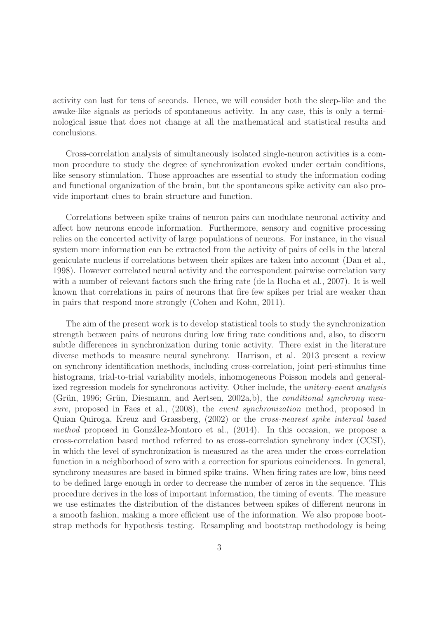activity can last for tens of seconds. Hence, we will consider both the sleep-like and the awake-like signals as periods of spontaneous activity. In any case, this is only a terminological issue that does not change at all the mathematical and statistical results and conclusions.

Cross-correlation analysis of simultaneously isolated single-neuron activities is a common procedure to study the degree of synchronization evoked under certain conditions, like sensory stimulation. Those approaches are essential to study the information coding and functional organization of the brain, but the spontaneous spike activity can also provide important clues to brain structure and function.

Correlations between spike trains of neuron pairs can modulate neuronal activity and affect how neurons encode information. Furthermore, sensory and cognitive processing relies on the concerted activity of large populations of neurons. For instance, in the visual system more information can be extracted from the activity of pairs of cells in the lateral geniculate nucleus if correlations between their spikes are taken into account (Dan et al., 1998). However correlated neural activity and the correspondent pairwise correlation vary with a number of relevant factors such the firing rate (de la Rocha et al., 2007). It is well known that correlations in pairs of neurons that fire few spikes per trial are weaker than in pairs that respond more strongly (Cohen and Kohn, 2011).

The aim of the present work is to develop statistical tools to study the synchronization strength between pairs of neurons during low firing rate conditions and, also, to discern subtle differences in synchronization during tonic activity. There exist in the literature diverse methods to measure neural synchrony. Harrison, et al. 2013 present a review on synchrony identification methods, including cross-correlation, joint peri-stimulus time histograms, trial-to-trial variability models, inhomogeneous Poisson models and generalized regression models for synchronous activity. Other include, the unitary-event analysis (Grün, 1996; Grün, Diesmann, and Aertsen, 2002a,b), the *conditional synchrony mea*sure, proposed in Faes et al., (2008), the event synchronization method, proposed in Quian Quiroga, Kreuz and Grassberg, (2002) or the cross-nearest spike interval based method proposed in González-Montoro et al.,  $(2014)$ . In this occasion, we propose a cross-correlation based method referred to as cross-correlation synchrony index (CCSI), in which the level of synchronization is measured as the area under the cross-correlation function in a neighborhood of zero with a correction for spurious coincidences. In general, synchrony measures are based in binned spike trains. When firing rates are low, bins need to be defined large enough in order to decrease the number of zeros in the sequence. This procedure derives in the loss of important information, the timing of events. The measure we use estimates the distribution of the distances between spikes of different neurons in a smooth fashion, making a more efficient use of the information. We also propose bootstrap methods for hypothesis testing. Resampling and bootstrap methodology is being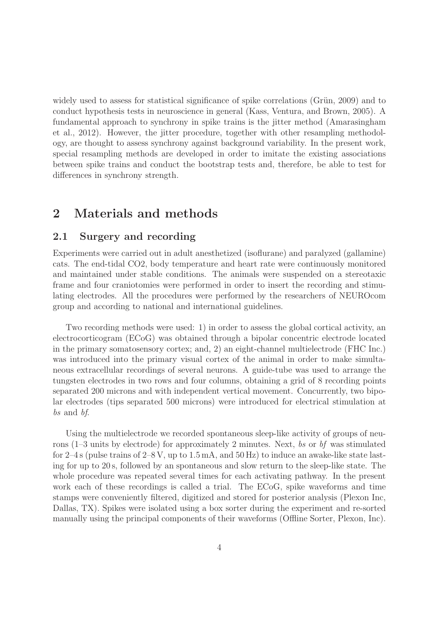widely used to assess for statistical significance of spike correlations (Grün, 2009) and to conduct hypothesis tests in neuroscience in general (Kass, Ventura, and Brown, 2005). A fundamental approach to synchrony in spike trains is the jitter method (Amarasingham et al., 2012). However, the jitter procedure, together with other resampling methodology, are thought to assess synchrony against background variability. In the present work, special resampling methods are developed in order to imitate the existing associations between spike trains and conduct the bootstrap tests and, therefore, be able to test for differences in synchrony strength.

# <span id="page-3-0"></span>2 Materials and methods

### 2.1 Surgery and recording

Experiments were carried out in adult anesthetized (isoflurane) and paralyzed (gallamine) cats. The end-tidal CO2, body temperature and heart rate were continuously monitored and maintained under stable conditions. The animals were suspended on a stereotaxic frame and four craniotomies were performed in order to insert the recording and stimulating electrodes. All the procedures were performed by the researchers of NEUROcom group and according to national and international guidelines.

Two recording methods were used: 1) in order to assess the global cortical activity, an electrocorticogram (ECoG) was obtained through a bipolar concentric electrode located in the primary somatosensory cortex; and, 2) an eight-channel multielectrode (FHC Inc.) was introduced into the primary visual cortex of the animal in order to make simultaneous extracellular recordings of several neurons. A guide-tube was used to arrange the tungsten electrodes in two rows and four columns, obtaining a grid of 8 recording points separated 200 microns and with independent vertical movement. Concurrently, two bipolar electrodes (tips separated 500 microns) were introduced for electrical stimulation at bs and bf.

Using the multielectrode we recorded spontaneous sleep-like activity of groups of neurons (1–3 units by electrode) for approximately 2 minutes. Next, bs or bf was stimulated for 2–4 s (pulse trains of 2–8 V, up to  $1.5 \text{ mA}$ , and  $50 \text{ Hz}$ ) to induce an awake-like state lasting for up to 20 s, followed by an spontaneous and slow return to the sleep-like state. The whole procedure was repeated several times for each activating pathway. In the present work each of these recordings is called a trial. The ECoG, spike waveforms and time stamps were conveniently filtered, digitized and stored for posterior analysis (Plexon Inc, Dallas, TX). Spikes were isolated using a box sorter during the experiment and re-sorted manually using the principal components of their waveforms (Offline Sorter, Plexon, Inc).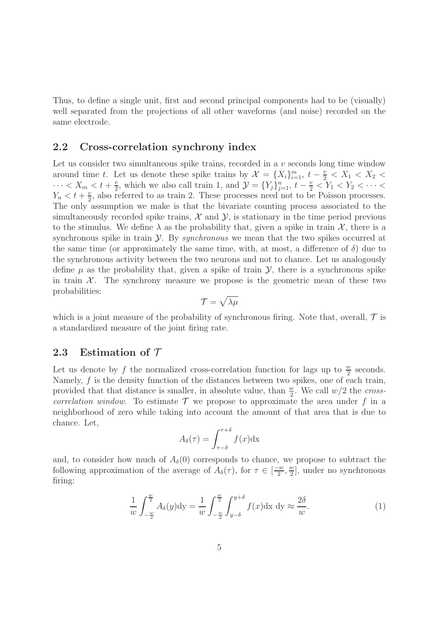Thus, to define a single unit, first and second principal components had to be (visually) well separated from the projections of all other waveforms (and noise) recorded on the same electrode.

#### 2.2 Cross-correlation synchrony index

Let us consider two simultaneous spike trains, recorded in a  $v$  seconds long time window around time t. Let us denote these spike trains by  $\mathcal{X} = \{X_i\}_{i=1}^m$ ,  $t - \frac{v}{2} < X_1 < X_2 <$  $\cdots < X_m < t + \frac{v}{2}$  $\frac{v}{2}$ , which we also call train 1, and  $\mathcal{Y} = \{Y_j\}_{j=1}^n$ ,  $t - \frac{v}{2} \leq Y_1 < Y_2 < \cdots < Y_n$  $Y_n < t + \frac{v}{2}$  $\frac{v}{2}$ , also referred to as train 2. These processes need not to be Poisson processes. The only assumption we make is that the bivariate counting process associated to the simultaneously recorded spike trains,  $\mathcal X$  and  $\mathcal Y$ , is stationary in the time period previous to the stimulus. We define  $\lambda$  as the probability that, given a spike in train  $\mathcal{X}$ , there is a synchronous spike in train  $\mathcal Y$ . By synchronous we mean that the two spikes occurred at the same time (or approximately the same time, with, at most, a difference of  $\delta$ ) due to the synchronous activity between the two neurons and not to chance. Let us analogously define  $\mu$  as the probability that, given a spike of train  $\mathcal{Y}$ , there is a synchronous spike in train  $\mathcal{X}$ . The synchrony measure we propose is the geometric mean of these two probabilities:

$$
\mathcal{T}=\sqrt{\lambda\mu}
$$

which is a joint measure of the probability of synchronous firing. Note that, overall,  $\mathcal{T}$  is a standardized measure of the joint firing rate.

### <span id="page-4-1"></span>2.3 Estimation of  $\mathcal T$

Let us denote by f the normalized cross-correlation function for lags up to  $\frac{w}{2}$  seconds. Namely,  $f$  is the density function of the distances between two spikes, one of each train, provided that that distance is smaller, in absolute value, than  $\frac{w}{2}$ . We call  $w/2$  the *cross*correlation window. To estimate  $\mathcal T$  we propose to approximate the area under f in a neighborhood of zero while taking into account the amount of that area that is due to chance. Let,

$$
A_{\delta}(\tau) = \int_{\tau-\delta}^{\tau+\delta} f(x) \mathrm{dx}
$$

and, to consider how much of  $A_{\delta}(0)$  corresponds to chance, we propose to subtract the following approximation of the average of  $A_{\delta}(\tau)$ , for  $\tau \in \left[\frac{-w}{2}\right]$  $\frac{w}{2}$ ,  $\frac{w}{2}$  $\frac{w}{2}$ , under no synchronous firing:

<span id="page-4-0"></span>
$$
\frac{1}{w} \int_{-\frac{w}{2}}^{\frac{w}{2}} A_{\delta}(y) dy = \frac{1}{w} \int_{-\frac{w}{2}}^{\frac{w}{2}} \int_{y-\delta}^{y+\delta} f(x) dx dy \approx \frac{2\delta}{w}.
$$
 (1)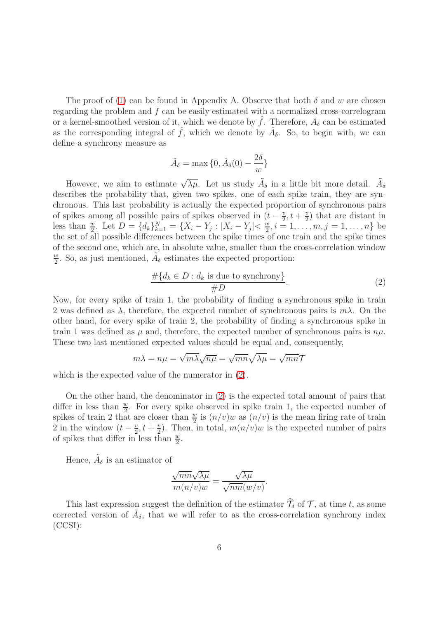The proof of [\(1\)](#page-4-0) can be found in Appendix A. Observe that both  $\delta$  and w are chosen regarding the problem and f can be easily estimated with a normalized cross-correlogram or a kernel-smoothed version of it, which we denote by f. Therefore,  $A_{\delta}$  can be estimated as the corresponding integral of  $\hat{f}$ , which we denote by  $\hat{A}_{\delta}$ . So, to begin with, we can define a synchrony measure as

$$
\tilde{A}_{\delta} = \max\left\{0, \hat{A}_{\delta}(0) - \frac{2\delta}{w}\right\}
$$

However, we aim to estimate  $\sqrt{\lambda\mu}$ . Let us study  $\tilde{A}_{\delta}$  in a little bit more detail.  $\tilde{A}_{\delta}$ describes the probability that, given two spikes, one of each spike train, they are synchronous. This last probability is actually the expected proportion of synchronous pairs of spikes among all possible pairs of spikes observed in  $(t - \frac{v}{2})$  $\frac{v}{2}, t + \frac{v}{2}$  $(\frac{v}{2})$  that are distant in less than  $\frac{w}{2}$ . Let  $D = \{d_k\}_{k=1}^N = \{X_i - Y_j : |X_i - Y_j| < \frac{w}{2}\}$  $\frac{w}{2}, i = 1, \dots, m, j = 1, \dots, n$  be the set of all possible differences between the spike times of one train and the spike times of the second one, which are, in absolute value, smaller than the cross-correlation window w  $\frac{w}{2}$ . So, as just mentioned,  $\tilde{A}_{\delta}$  estimates the expected proportion:

<span id="page-5-0"></span>
$$
\frac{\#\{d_k \in D : d_k \text{ is due to synchrony}\}}{\#D}.\tag{2}
$$

Now, for every spike of train 1, the probability of finding a synchronous spike in train 2 was defined as  $\lambda$ , therefore, the expected number of synchronous pairs is  $m\lambda$ . On the other hand, for every spike of train 2, the probability of finding a synchronous spike in train 1 was defined as  $\mu$  and, therefore, the expected number of synchronous pairs is  $n\mu$ . These two last mentioned expected values should be equal and, consequently,

$$
m\lambda = n\mu = \sqrt{m\lambda}\sqrt{n\mu} = \sqrt{mn}\sqrt{\lambda\mu} = \sqrt{mn}\mathcal{T}
$$

which is the expected value of the numerator in [\(2\)](#page-5-0).

On the other hand, the denominator in [\(2\)](#page-5-0) is the expected total amount of pairs that differ in less than  $\frac{w}{2}$ . For every spike observed in spike train 1, the expected number of spikes of train 2 that are closer than  $\frac{w}{2}$  is  $(n/v)w$  as  $(n/v)$  is the mean firing rate of train 2 in the window  $(t-\frac{v}{2})$  $\frac{v}{2}, t+\frac{v}{2}$  $\frac{v}{2}$ ). Then, in total,  $m(n/v)w$  is the expected number of pairs of spikes that differ in less than  $\frac{w}{2}$ .

Hence,  $\tilde{A}_{\delta}$  is an estimator of

$$
\frac{\sqrt{mn}\sqrt{\lambda\mu}}{m(n/v)w} = \frac{\sqrt{\lambda\mu}}{\sqrt{nm}(w/v)}.
$$

This last expression suggest the definition of the estimator  $\widehat{\mathcal{T}}_{\delta}$  of  $\mathcal{T}$ , at time t, as some corrected version of  $\tilde{A}_{\delta}$ , that we will refer to as the cross-correlation synchrony index (CCSI):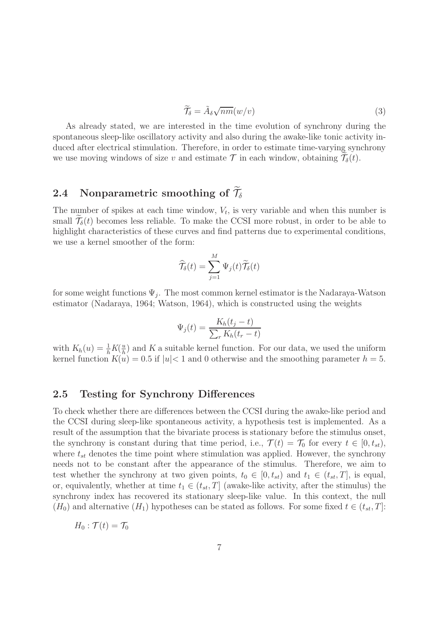$$
\widetilde{\mathcal{T}}_{\delta} = \widetilde{A}_{\delta} \sqrt{nm}(w/v) \tag{3}
$$

As already stated, we are interested in the time evolution of synchrony during the spontaneous sleep-like oscillatory activity and also during the awake-like tonic activity induced after electrical stimulation. Therefore, in order to estimate time-varying synchrony we use moving windows of size v and estimate  $\mathcal T$  in each window, obtaining  $\mathcal T_{\delta}(t)$ .

# <span id="page-6-1"></span>2.4 Nonparametric smoothing of  $\widetilde{\mathcal{T}}_{\delta}$

The number of spikes at each time window,  $V_t$ , is very variable and when this number is small  $\mathcal{T}_{\delta}(t)$  becomes less reliable. To make the CCSI more robust, in order to be able to highlight characteristics of these curves and find patterns due to experimental conditions, we use a kernel smoother of the form:

$$
\widehat{\mathcal{T}}_{\delta}(t) = \sum_{j=1}^{M} \Psi_j(t) \widetilde{\mathcal{T}}_{\delta}(t)
$$

for some weight functions  $\Psi_j$ . The most common kernel estimator is the Nadaraya-Watson estimator (Nadaraya, 1964; Watson, 1964), which is constructed using the weights

$$
\Psi_j(t) = \frac{K_h(t_j - t)}{\sum_r K_h(t_r - t)}
$$

with  $K_h(u) = \frac{1}{h} K(\frac{u}{h})$  $\frac{u}{h}$ ) and K a suitable kernel function. For our data, we used the uniform kernel function  $K(u) = 0.5$  if  $|u| < 1$  and 0 otherwise and the smoothing parameter  $h = 5$ .

#### <span id="page-6-0"></span>2.5 Testing for Synchrony Differences

To check whether there are differences between the CCSI during the awake-like period and the CCSI during sleep-like spontaneous activity, a hypothesis test is implemented. As a result of the assumption that the bivariate process is stationary before the stimulus onset, the synchrony is constant during that time period, i.e.,  $\mathcal{T}(t) = \mathcal{T}_0$  for every  $t \in [0, t_{st})$ , where  $t_{st}$  denotes the time point where stimulation was applied. However, the synchrony needs not to be constant after the appearance of the stimulus. Therefore, we aim to test whether the synchrony at two given points,  $t_0 \in [0, t_{st})$  and  $t_1 \in (t_{st}, T]$ , is equal, or, equivalently, whether at time  $t_1 \in (t_{st}, T]$  (awake-like activity, after the stimulus) the synchrony index has recovered its stationary sleep-like value. In this context, the null  $(H_0)$  and alternative  $(H_1)$  hypotheses can be stated as follows. For some fixed  $t \in (t_{st}, T]$ :

$$
H_0: \mathcal{T}(t) = \mathcal{T}_0
$$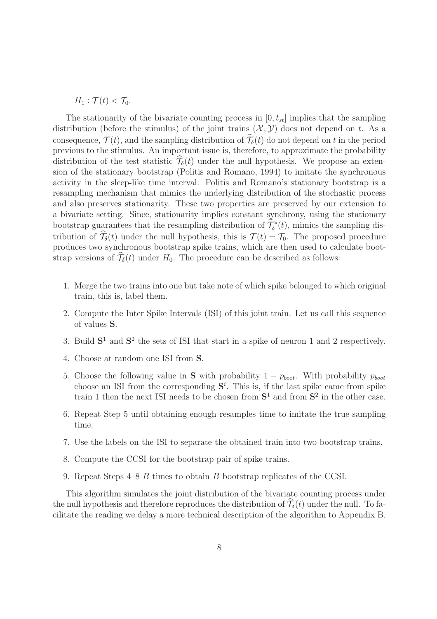$H_1 : \mathcal{T}(t) < \mathcal{T}_0.$ 

The stationarity of the bivariate counting process in  $[0, t_{st}]$  implies that the sampling distribution (before the stimulus) of the joint trains  $(\mathcal{X}, \mathcal{Y})$  does not depend on t. As a consequence,  $\mathcal{T}(t)$ , and the sampling distribution of  $\hat{\mathcal{T}}_{\delta}(t)$  do not depend on t in the period previous to the stimulus. An important issue is, therefore, to approximate the probability distribution of the test statistic  $\mathcal{T}_{\delta}(t)$  under the null hypothesis. We propose an extension of the stationary bootstrap (Politis and Romano, 1994) to imitate the synchronous activity in the sleep-like time interval. Politis and Romano's stationary bootstrap is a resampling mechanism that mimics the underlying distribution of the stochastic process and also preserves stationarity. These two properties are preserved by our extension to a bivariate setting. Since, stationarity implies constant synchrony, using the stationary bootstrap guarantees that the resampling distribution of  $\widehat{\mathcal{T}}^*_{\delta}(t)$ , mimics the sampling distribution of  $\widehat{\mathcal{T}}_{\delta}(t)$  under the null hypothesis, this is  $\mathcal{T}(t) = \mathcal{T}_0$ . The proposed procedure produces two synchronous bootstrap spike trains, which are then used to calculate bootstrap versions of  $\widehat{\mathcal{T}}_{\delta}(t)$  under  $H_0$ . The procedure can be described as follows:

- 1. Merge the two trains into one but take note of which spike belonged to which original train, this is, label them.
- 2. Compute the Inter Spike Intervals (ISI) of this joint train. Let us call this sequence of values S.
- 3. Build  $S<sup>1</sup>$  and  $S<sup>2</sup>$  the sets of ISI that start in a spike of neuron 1 and 2 respectively.
- 4. Choose at random one ISI from S.
- 5. Choose the following value in S with probability  $1 p_{boot}$ . With probability  $p_{boot}$ choose an ISI from the corresponding  $S^i$ . This is, if the last spike came from spike train 1 then the next ISI needs to be chosen from  $S<sup>1</sup>$  and from  $S<sup>2</sup>$  in the other case.
- 6. Repeat Step 5 until obtaining enough resamples time to imitate the true sampling time.
- 7. Use the labels on the ISI to separate the obtained train into two bootstrap trains.
- 8. Compute the CCSI for the bootstrap pair of spike trains.
- 9. Repeat Steps 4–8 B times to obtain B bootstrap replicates of the CCSI.

This algorithm simulates the joint distribution of the bivariate counting process under the null hypothesis and therefore reproduces the distribution of  $\mathcal{T}_{\delta}(t)$  under the null. To facilitate the reading we delay a more technical description of the algorithm to Appendix B.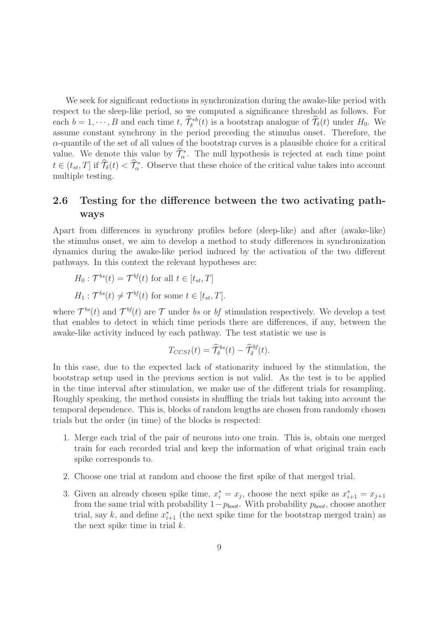We seek for significant reductions in synchronization during the awake-like period with respect to the sleep-like period, so we computed a significance threshold as follows. For each  $b = 1, \dots, B$  and each time t,  $\widehat{\mathcal{T}}_{\delta}^{*b}(t)$  is a bootstrap analogue of  $\widehat{\mathcal{T}}_{\delta}(t)$  under  $H_0$ . We assume constant synchrony in the period preceding the stimulus onset. Therefore, the  $\alpha$ -quantile of the set of all values of the bootstrap curves is a plausible choice for a critical value. We denote this value by  $\widetilde{\mathcal{T}}_{\alpha}^{*}$ . The null hypothesis is rejected at each time point  $t \in (t_{st}, T]$  if  $\widehat{T}_{\delta}(t) < \widehat{T}_{\alpha}^*$ . Observe that these choice of the critical value takes into account multiple testing.

### <span id="page-8-0"></span>2.6 Testing for the difference between the two activating pathways

Apart from differences in synchrony profiles before (sleep-like) and after (awake-like) the stimulus onset, we aim to develop a method to study differences in synchronization dynamics during the awake-like period induced by the activation of the two different pathways. In this context the relevant hypotheses are:

$$
H_0: \mathcal{T}^{bs}(t) = \mathcal{T}^{bf}(t) \text{ for all } t \in [t_{st}, T]
$$

$$
H_1: \mathcal{T}^{bs}(t) \neq \mathcal{T}^{bf}(t) \text{ for some } t \in [t_{st}, T].
$$

where  $\mathcal{T}^{bs}(t)$  and  $\mathcal{T}^{bf}(t)$  are  $\mathcal T$  under bs or bf stimulation respectively. We develop a test that enables to detect in which time periods there are differences, if any, between the awake-like activity induced by each pathway. The test statistic we use is

$$
T_{CCSI}(t) = \widehat{\mathcal{T}}_{\delta}^{bs}(t) - \widehat{\mathcal{T}}_{\delta}^{bf}(t).
$$

In this case, due to the expected lack of stationarity induced by the stimulation, the bootstrap setup used in the previous section is not valid. As the test is to be applied in the time interval after stimulation, we make use of the different trials for resampling. Roughly speaking, the method consists in shuffling the trials but taking into account the temporal dependence. This is, blocks of random lengths are chosen from randomly chosen trials but the order (in time) of the blocks is respected:

- 1. Merge each trial of the pair of neurons into one train. This is, obtain one merged train for each recorded trial and keep the information of what original train each spike corresponds to.
- 2. Choose one trial at random and choose the first spike of that merged trial.
- 3. Given an already chosen spike time,  $x_i^* = x_j$ , choose the next spike as  $x_{i+1}^* = x_{j+1}$ from the same trial with probability  $1-p_{boot}$ . With probability  $p_{boot}$ , choose another trial, say k, and define  $x_{i+1}^*$  (the next spike time for the bootstrap merged train) as the next spike time in trial  $k$ .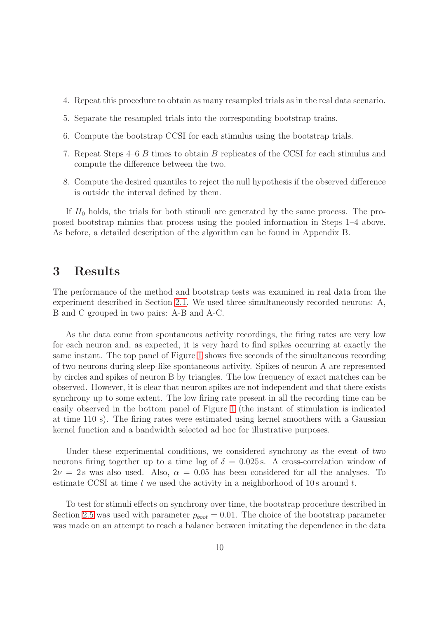- 4. Repeat this procedure to obtain as many resampled trials as in the real data scenario.
- 5. Separate the resampled trials into the corresponding bootstrap trains.
- 6. Compute the bootstrap CCSI for each stimulus using the bootstrap trials.
- 7. Repeat Steps 4–6 B times to obtain B replicates of the CCSI for each stimulus and compute the difference between the two.
- 8. Compute the desired quantiles to reject the null hypothesis if the observed difference is outside the interval defined by them.

If  $H_0$  holds, the trials for both stimuli are generated by the same process. The proposed bootstrap mimics that process using the pooled information in Steps 1–4 above. As before, a detailed description of the algorithm can be found in Appendix B.

### 3 Results

The performance of the method and bootstrap tests was examined in real data from the experiment described in Section [2.1.](#page-3-0) We used three simultaneously recorded neurons: A, B and C grouped in two pairs: A-B and A-C.

As the data come from spontaneous activity recordings, the firing rates are very low for each neuron and, as expected, it is very hard to find spikes occurring at exactly the same instant. The top panel of Figure [1](#page-10-0) shows five seconds of the simultaneous recording of two neurons during sleep-like spontaneous activity. Spikes of neuron A are represented by circles and spikes of neuron B by triangles. The low frequency of exact matches can be observed. However, it is clear that neuron spikes are not independent and that there exists synchrony up to some extent. The low firing rate present in all the recording time can be easily observed in the bottom panel of Figure [1](#page-10-0) (the instant of stimulation is indicated at time 110 s). The firing rates were estimated using kernel smoothers with a Gaussian kernel function and a bandwidth selected ad hoc for illustrative purposes.

Under these experimental conditions, we considered synchrony as the event of two neurons firing together up to a time lag of  $\delta = 0.025$  s. A cross-correlation window of  $2\nu = 2$  s was also used. Also,  $\alpha = 0.05$  has been considered for all the analyses. To estimate CCSI at time  $t$  we used the activity in a neighborhood of 10 s around  $t$ .

To test for stimuli effects on synchrony over time, the bootstrap procedure described in Section [2.5](#page-6-0) was used with parameter  $p_{boot} = 0.01$ . The choice of the bootstrap parameter was made on an attempt to reach a balance between imitating the dependence in the data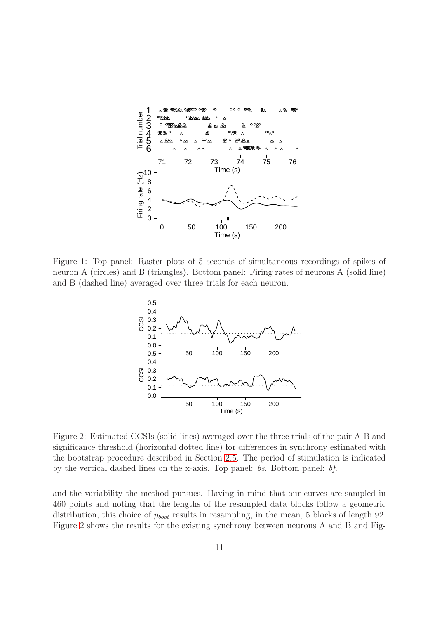

<span id="page-10-0"></span>Figure 1: Top panel: Raster plots of 5 seconds of simultaneous recordings of spikes of neuron A (circles) and B (triangles). Bottom panel: Firing rates of neurons A (solid line) and B (dashed line) averaged over three trials for each neuron.



<span id="page-10-1"></span>Figure 2: Estimated CCSIs (solid lines) averaged over the three trials of the pair A-B and significance threshold (horizontal dotted line) for differences in synchrony estimated with the bootstrap procedure described in Section [2.5.](#page-6-0) The period of stimulation is indicated by the vertical dashed lines on the x-axis. Top panel: bs. Bottom panel: bf.

and the variability the method pursues. Having in mind that our curves are sampled in 460 points and noting that the lengths of the resampled data blocks follow a geometric distribution, this choice of  $p_{boot}$  results in resampling, in the mean, 5 blocks of length 92. Figure [2](#page-10-1) shows the results for the existing synchrony between neurons A and B and Fig-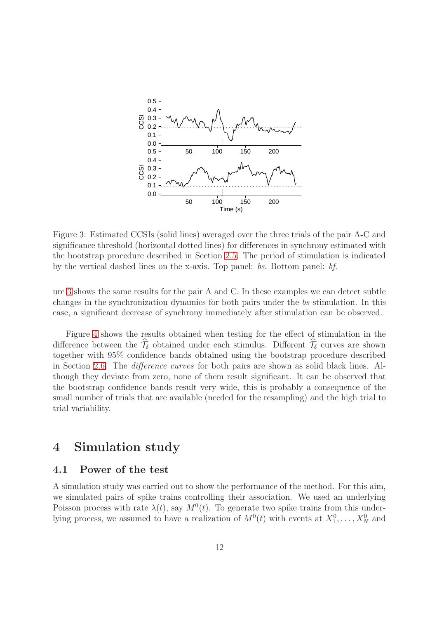

<span id="page-11-0"></span>Figure 3: Estimated CCSIs (solid lines) averaged over the three trials of the pair A-C and significance threshold (horizontal dotted lines) for differences in synchrony estimated with the bootstrap procedure described in Section [2.5.](#page-6-0) The period of stimulation is indicated by the vertical dashed lines on the x-axis. Top panel: bs. Bottom panel: bf.

ure [3](#page-11-0) shows the same results for the pair A and C. In these examples we can detect subtle changes in the synchronization dynamics for both pairs under the bs stimulation. In this case, a significant decrease of synchrony immediately after stimulation can be observed.

Figure [4](#page-12-0) shows the results obtained when testing for the effect of stimulation in the difference between the  $\widehat{\mathcal{T}}_{\delta}$  obtained under each stimulus. Different  $\widehat{\mathcal{T}}_{\delta}$  curves are shown together with 95% confidence bands obtained using the bootstrap procedure described in Section [2.6.](#page-8-0) The difference curves for both pairs are shown as solid black lines. Although they deviate from zero, none of them result significant. It can be observed that the bootstrap confidence bands result very wide, this is probably a consequence of the small number of trials that are available (needed for the resampling) and the high trial to trial variability.

### 4 Simulation study

#### 4.1 Power of the test

A simulation study was carried out to show the performance of the method. For this aim, we simulated pairs of spike trains controlling their association. We used an underlying Poisson process with rate  $\lambda(t)$ , say  $M^{0}(t)$ . To generate two spike trains from this underlying process, we assumed to have a realization of  $M^0(t)$  with events at  $X_1^0, \ldots, X_N^0$  and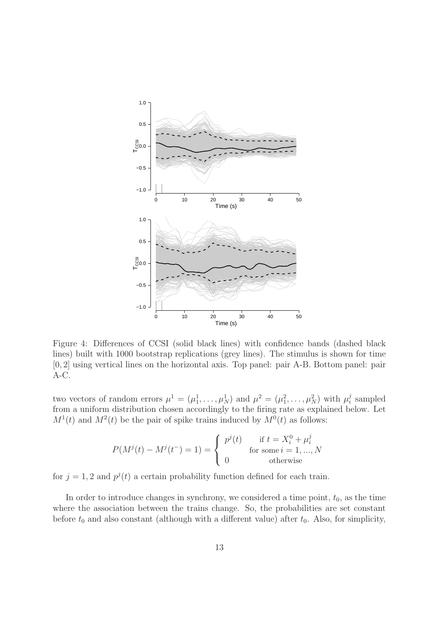

<span id="page-12-0"></span>Figure 4: Differences of CCSI (solid black lines) with confidence bands (dashed black lines) built with 1000 bootstrap replications (grey lines). The stimulus is shown for time [0, 2] using vertical lines on the horizontal axis. Top panel: pair A-B. Bottom panel: pair A-C.

two vectors of random errors  $\mu^1 = (\mu_1^1, \ldots, \mu_N^1)$  and  $\mu^2 = (\mu_1^2, \ldots, \mu_N^2)$  with  $\mu_i^j$  $i$  sampled from a uniform distribution chosen accordingly to the firing rate as explained below. Let  $M^1(t)$  and  $M^2(t)$  be the pair of spike trains induced by  $M^0(t)$  as follows:

$$
P(M^{j}(t) - M^{j}(t^{-})) = 1) = \begin{cases} p^{j}(t) & \text{if } t = X_{i}^{0} + \mu_{i}^{j} \\ 0 & \text{for some } i = 1, ..., N \\ 0 & \text{otherwise} \end{cases}
$$

for  $j = 1, 2$  and  $p^{j}(t)$  a certain probability function defined for each train.

In order to introduce changes in synchrony, we considered a time point,  $t_0$ , as the time where the association between the trains change. So, the probabilities are set constant before  $t_0$  and also constant (although with a different value) after  $t_0$ . Also, for simplicity,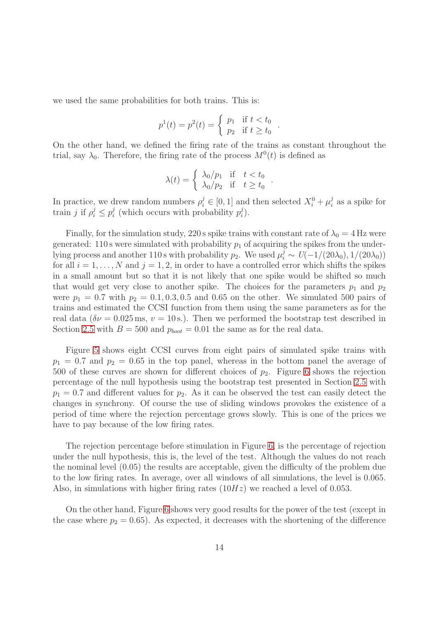we used the same probabilities for both trains. This is:

$$
p^{1}(t) = p^{2}(t) = \begin{cases} p_1 & \text{if } t < t_0 \\ p_2 & \text{if } t \geq t_0 \end{cases}
$$

.

On the other hand, we defined the firing rate of the trains as constant throughout the trial, say  $\lambda_0$ . Therefore, the firing rate of the process  $M^0(t)$  is defined as

$$
\lambda(t) = \begin{cases} \lambda_0/p_1 & \text{if } t < t_0 \\ \lambda_0/p_2 & \text{if } t \ge t_0 \end{cases}.
$$

In practice, we drew random numbers  $\rho_i^j \in [0,1]$  and then selected  $X_i^0 + \mu_i^j$  $i<sub>i</sub>$  as a spike for train *j* if  $\rho_i^j \leq p_i^j$  $i$ <sub>i</sub> (which occurs with probability  $p_i^j$  $\binom{j}{i}$ .

Finally, for the simulation study, 220 s spike trains with constant rate of  $\lambda_0 = 4$  Hz were generated: 110 s were simulated with probability  $p_1$  of acquiring the spikes from the underlying process and another 110s with probability  $p_2$ . We used  $\mu_i^j \sim U(-1/(20\lambda_0), 1/(20\lambda_0))$ for all  $i = 1, \ldots, N$  and  $j = 1, 2$ , in order to have a controlled error which shifts the spikes in a small amount but so that it is not likely that one spike would be shifted so much that would get very close to another spike. The choices for the parameters  $p_1$  and  $p_2$ were  $p_1 = 0.7$  with  $p_2 = 0.1, 0.3, 0.5$  and 0.65 on the other. We simulated 500 pairs of trains and estimated the CCSI function from them using the same parameters as for the real data ( $\delta \nu = 0.025$  ms,  $v = 10$  s.). Then we performed the bootstrap test described in Section [2.5](#page-6-0) with  $B = 500$  and  $p_{boot} = 0.01$  the same as for the real data.

Figure [5](#page-14-0) shows eight CCSI curves from eight pairs of simulated spike trains with  $p_1 = 0.7$  and  $p_2 = 0.65$  in the top panel, whereas in the bottom panel the average of 500 of these curves are shown for different choices of  $p_2$ . Figure [6](#page-15-0) shows the rejection percentage of the null hypothesis using the bootstrap test presented in Section [2.5](#page-6-0) with  $p_1 = 0.7$  and different values for  $p_2$ . As it can be observed the test can easily detect the changes in synchrony. Of course the use of sliding windows provokes the existence of a period of time where the rejection percentage grows slowly. This is one of the prices we have to pay because of the low firing rates.

The rejection percentage before stimulation in Figure [6,](#page-15-0) is the percentage of rejection under the null hypothesis, this is, the level of the test. Although the values do not reach the nominal level (0.05) the results are acceptable, given the difficulty of the problem due to the low firing rates. In average, over all windows of all simulations, the level is 0.065. Also, in simulations with higher firing rates  $(10Hz)$  we reached a level of 0.053.

On the other hand, Figure [6](#page-15-0) shows very good results for the power of the test (except in the case where  $p_2 = 0.65$ ). As expected, it decreases with the shortening of the difference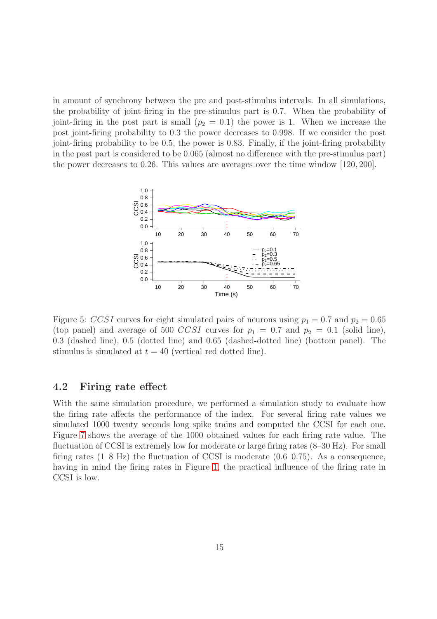in amount of synchrony between the pre and post-stimulus intervals. In all simulations, the probability of joint-firing in the pre-stimulus part is 0.7. When the probability of joint-firing in the post part is small  $(p_2 = 0.1)$  the power is 1. When we increase the post joint-firing probability to 0.3 the power decreases to 0.998. If we consider the post joint-firing probability to be 0.5, the power is 0.83. Finally, if the joint-firing probability in the post part is considered to be 0.065 (almost no difference with the pre-stimulus part) the power decreases to 0.26. This values are averages over the time window [120, 200].



<span id="page-14-0"></span>Figure 5: CCSI curves for eight simulated pairs of neurons using  $p_1 = 0.7$  and  $p_2 = 0.65$ (top panel) and average of 500 CCSI curves for  $p_1 = 0.7$  and  $p_2 = 0.1$  (solid line), 0.3 (dashed line), 0.5 (dotted line) and 0.65 (dashed-dotted line) (bottom panel). The stimulus is simulated at  $t = 40$  (vertical red dotted line).

#### 4.2 Firing rate effect

With the same simulation procedure, we performed a simulation study to evaluate how the firing rate affects the performance of the index. For several firing rate values we simulated 1000 twenty seconds long spike trains and computed the CCSI for each one. Figure [7](#page-15-1) shows the average of the 1000 obtained values for each firing rate value. The fluctuation of CCSI is extremely low for moderate or large firing rates (8–30 Hz). For small firing rates  $(1-8 \text{ Hz})$  the fluctuation of CCSI is moderate  $(0.6-0.75)$ . As a consequence, having in mind the firing rates in Figure [1,](#page-10-0) the practical influence of the firing rate in CCSI is low.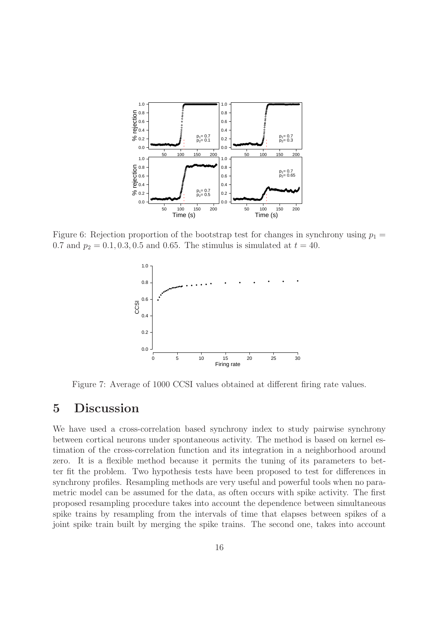

Figure 6: Rejection proportion of the bootstrap test for changes in synchrony using  $p_1 =$ 0.7 and  $p_2 = 0.1, 0.3, 0.5$  and 0.65. The stimulus is simulated at  $t = 40$ .

<span id="page-15-0"></span>

<span id="page-15-1"></span>Figure 7: Average of 1000 CCSI values obtained at different firing rate values.

### 5 Discussion

We have used a cross-correlation based synchrony index to study pairwise synchrony between cortical neurons under spontaneous activity. The method is based on kernel estimation of the cross-correlation function and its integration in a neighborhood around zero. It is a flexible method because it permits the tuning of its parameters to better fit the problem. Two hypothesis tests have been proposed to test for differences in synchrony profiles. Resampling methods are very useful and powerful tools when no parametric model can be assumed for the data, as often occurs with spike activity. The first proposed resampling procedure takes into account the dependence between simultaneous spike trains by resampling from the intervals of time that elapses between spikes of a joint spike train built by merging the spike trains. The second one, takes into account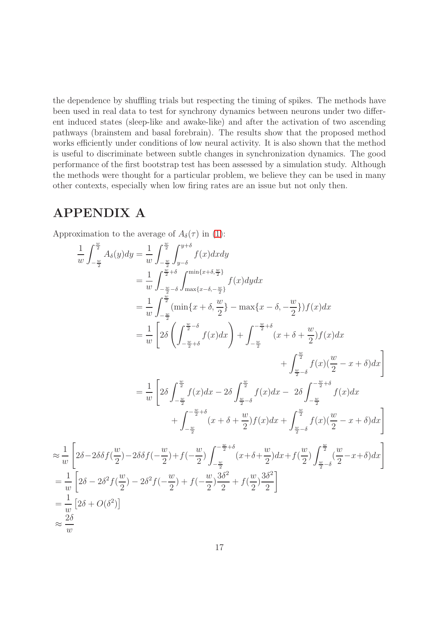the dependence by shuffling trials but respecting the timing of spikes. The methods have been used in real data to test for synchrony dynamics between neurons under two different induced states (sleep-like and awake-like) and after the activation of two ascending pathways (brainstem and basal forebrain). The results show that the proposed method works efficiently under conditions of low neural activity. It is also shown that the method is useful to discriminate between subtle changes in synchronization dynamics. The good performance of the first bootstrap test has been assessed by a simulation study. Although the methods were thought for a particular problem, we believe they can be used in many other contexts, especially when low firing rates are an issue but not only then.

# APPENDIX A

Approximation to the average of  $A_\delta(\tau)$  in [\(1\)](#page-4-0):

$$
\frac{1}{w} \int_{-\frac{w}{2}}^{\frac{w}{2}} A_{\delta}(y) dy = \frac{1}{w} \int_{-\frac{w}{2}}^{\frac{w}{2}} \int_{y-\delta}^{y+\delta} f(x) dx dy
$$
\n
$$
= \frac{1}{w} \int_{-\frac{w}{2}-\delta}^{\frac{w}{2}+\delta} \int_{\max\{x-\delta,-\frac{w}{2}\}}^{\min\{x+\delta,\frac{w}{2}\}} f(x) dy dx
$$
\n
$$
= \frac{1}{w} \int_{-\frac{w}{2}}^{\frac{w}{2}} (\min\{x+\delta,\frac{w}{2}\} - \max\{x-\delta,-\frac{w}{2}\}) f(x) dx
$$
\n
$$
= \frac{1}{w} \left[ 2\delta \left( \int_{-\frac{w}{2}+\delta}^{\frac{w}{2}-\delta} f(x) dx \right) + \int_{-\frac{w}{2}}^{-\frac{w}{2}+\delta} (x+\delta+\frac{w}{2}) f(x) dx + \int_{\frac{w}{2}-\delta}^{\frac{w}{2}} f(x) (\frac{w}{2}-x+\delta) dx \right]
$$
\n
$$
= \frac{1}{w} \left[ 2\delta \int_{-\frac{w}{2}}^{\frac{w}{2}} f(x) dx - 2\delta \int_{\frac{w}{2}-\delta}^{\frac{w}{2}} f(x) dx - 2\delta \int_{-\frac{w}{2}}^{-\frac{w}{2}+\delta} f(x) (\frac{w}{2}-x+\delta) dx \right]
$$
\n
$$
\approx \frac{1}{w} \left[ 2\delta - 2\delta \delta f(\frac{w}{2}) - 2\delta \delta f(-\frac{w}{2}) + f(-\frac{w}{2}) \int_{-\frac{w}{2}}^{-\frac{w}{2}+\delta} (x+\delta+\frac{w}{2}) dx + f(\frac{w}{2}) \int_{\frac{w}{2}-\delta}^{\frac{w}{2}} (\frac{w}{2}-x+\delta) dx \right]
$$
\n
$$
= \frac{1}{w} \left[ 2\delta - 2\delta^2 f(\frac{w}{2}) - 2\delta^2 f(-\frac{w}{2}) + f(-\frac{w}{2}) \frac{3\delta^2}{2} + f(\frac{w}{2}) \frac{3\delta^2}{2} \right]
$$
\n
$$
= \frac{1}{w} \left[ 2\delta + O(\delta^2) \
$$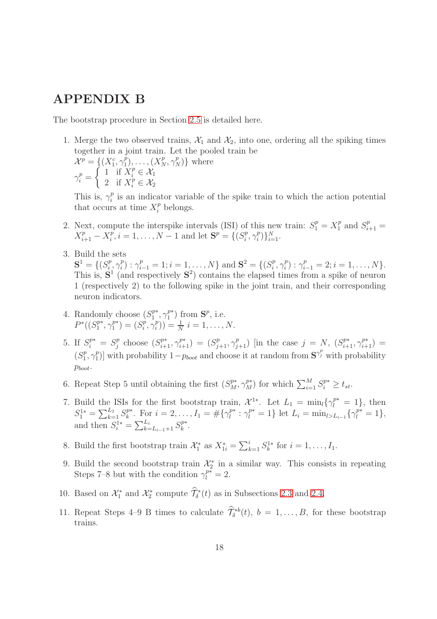# APPENDIX B

The bootstrap procedure in Section [2.5](#page-6-0) is detailed here.

1. Merge the two observed trains,  $\mathcal{X}_1$  and  $\mathcal{X}_2$ , into one, ordering all the spiking times together in a joint train. Let the pooled train be  $\mathcal{X}^p = \left\{ (X_1^c, \gamma_1^p) \right\}$  $\binom{p}{1},\ldots,\binom{X_N^p,\gamma_N^p}{N}$  where  $\gamma_i^p =$  $\int 1$  if  $X_i^p \in \mathcal{X}_1$ 2 if  $X_i^p \in \mathcal{X}_2$ 

This is,  $\gamma_i^p$  $i<sub>i</sub><sup>p</sup>$  is an indicator variable of the spike train to which the action potential that occurs at time  $X_i^p$  belongs.

- 2. Next, compute the interspike intervals (ISI) of this new train:  $S_1^p = X_1^p$  $j_1^p$  and  $S_{i+1}^p =$  $X_{i+1}^p - X_i^p$  $i_i^p, i = 1, ..., N - 1$  and let  $S^p = \{(S_i^p)\}$  $i^p, \gamma_i^p$  $_{i}^{p})\}_{i=1}^{N}$ .
- 3. Build the sets  $S^1 = \{(S^p_i)$  $\gamma_i^p, \gamma_i^p$  $\sigma_i^p$ ) :  $\gamma_{i-1}^p = 1$ ;  $i = 1, ..., N$  and  $S^2 = \{(S_i^p)$  $i^p, \gamma_i^p$  $i^p$  :  $\gamma_{i-1}^p = 2; i = 1, \ldots, N$ . This is,  $S^1$  (and respectively  $S^2$ ) contains the elapsed times from a spike of neuron 1 (respectively 2) to the following spike in the joint train, and their corresponding neuron indicators.
- 4. Randomly choose  $(S_1^{p*})$  $j^{p*}_{1}, \gamma_{1}^{p*}$  $_1^{p*}$ ) from  $\mathbf{S}^p$ , i.e.  $P^*((S_1^{p*})$  $j^{p*}_{1}, \gamma_{1}^{p*}$  $j^{p*}_{1}$ ) =  $(S_i^{p})$  $\frac{p}{i}, \gamma_i^p$  $\binom{p}{i}$ ) =  $\frac{1}{N}$   $i = 1, ..., N$ .
- 5. If  $S_i^{p*} = S_j^p$ p choose  $(S_{i+1}^{p*}, \gamma_{i+1}^{p*}) = (S_{j+1}^{p}, \gamma_{j+1}^{p})$  [in the case  $j = N$ ,  $(S_{i+1}^{p*}, \gamma_{i+1}^{p*}) =$  $(S_1^p)$  $_1^p, \gamma _1^p$ <sup>p</sup><sub>1</sub>)] with probability  $1-p_{boot}$  and choose it at random from  $S^{\gamma_j^p}$  with probability  $p_{boot}$ .
- 6. Repeat Step 5 until obtaining the first  $(S_M^{p*}, \gamma_M^{p*})$  for which  $\sum_{i=1}^M S_i^{p*} \ge t_{st}$ .
- 7. Build the ISIs for the first bootstrap train,  $\mathcal{X}^{1*}$ . Let  $L_1 = \min_l \{ \gamma_l^{p*} = 1 \}$ , then  $S_1^{1*} = \sum_{k=1}^{L_1} S_k^{p*}$  $k^{p*}$ . For  $i = 2, ..., I_1 = \#\{\gamma_l^{p*}\}$  $l_i^{p*}$ :  $\gamma_l^{p*} = 1$ } let  $L_i = \min_{l>L_{i-1}} {\{\gamma_l^{p*} = 1\}},$ and then  $S_i^{1*} = \sum_{k=L_{i-1}+1}^{L_i} S_k^{p*}$  $_k^{p*}.$
- 8. Build the first bootstrap train  $\mathcal{X}_1^*$  as  $X_{1i}^* = \sum_{k=1}^i S_k^{1*}$  for  $i = 1, \ldots, I_1$ .
- 9. Build the second bootstrap train  $\mathcal{X}_{2}^{*}$  in a similar way. This consists in repeating Steps 7–8 but with the condition  $\gamma_l^{p*} = 2$ .
- 10. Based on  $\mathcal{X}_1^*$  and  $\mathcal{X}_2^*$  compute  $\widehat{\mathcal{T}}_{\delta}^*(t)$  as in Subsections [2.3](#page-4-1) and [2.4.](#page-6-1)
- 11. Repeat Steps 4–9 B times to calculate  $\hat{\mathcal{T}}_{\delta}^{*b}(t), b = 1, \ldots, B$ , for these bootstrap trains.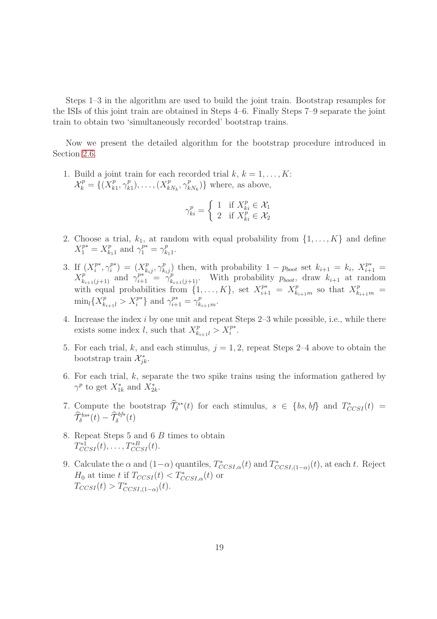Steps 1–3 in the algorithm are used to build the joint train. Bootstrap resamples for the ISIs of this joint train are obtained in Steps 4–6. Finally Steps 7–9 separate the joint train to obtain two 'simultaneously recorded' bootstrap trains.

Now we present the detailed algorithm for the bootstrap procedure introduced in Section [2.6.](#page-8-0)

1. Build a joint train for each recorded trial  $k, k = 1, \ldots, K$ :  $\mathcal{X}_k^p = \{ (X_k^p)$  $_{k1}^p, \gamma_k^p$  $_{k1}^{p}), \ldots, (X_{k}^{p})$  $_{kN_k}^p, \gamma _k^p$  $_{kN_k}^p$ } where, as above,

$$
\gamma_{ki}^p = \begin{cases} 1 & \text{if } X_{ki}^p \in \mathcal{X}_1 \\ 2 & \text{if } X_{ki}^p \in \mathcal{X}_2 \end{cases}
$$

- 2. Choose a trial,  $k_1$ , at random with equal probability from  $\{1, \ldots, K\}$  and define  $X_1^{p*} = X_k^p$  $_{k_{1}1}^{p}$  and  $\gamma_{1}^{p*} = \gamma_{k}^{p}$  $\frac{p}{k_1 1}$ .
- 3. If  $(X_i^{p*})$  $i^{p*}, \gamma_i^{p*}$  $\binom{p*}{i} = (X_k^p)$  $_{k_{i}j}^{p},\gamma _{k}^{p}$  $\left( \begin{array}{c} p \\ k_{ij} \end{array} \right)$  then, with probability  $1 - p_{boot}$  set  $k_{i+1} = k_i, X_{i+1}^{p*} = k_i$  $X_{k_{i+1}(j+1)}^p$  and  $\gamma_{i+1}^{p*} = \gamma_{k_{i+1}(j+1)}^p$ . With probability  $p_{boot}$ , draw  $k_{i+1}$  at random with equal probabilities from  $\{1, \ldots, K\}$ , set  $X_{i+1}^{p*} = X_{k_{i+1}m}^{p}$  so that  $X_{k_{i+1}m}^{p} =$  $\min_{l} \{X_{k_{i+1}l}^p > X_i^{p*}\}\$ and  $\gamma_{i+1}^{p*} = \gamma_{k_{i+1}m}^p$ .
- 4. Increase the index i by one unit and repeat Steps 2–3 while possible, i.e., while there exists some index l, such that  $X_{k_{i+1}}^p > X_i^{p*}$ .
- 5. For each trial, k, and each stimulus,  $j = 1, 2$ , repeat Steps 2-4 above to obtain the bootstrap train  $\mathcal{X}_{jk}^*$ .
- 6. For each trial,  $k$ , separate the two spike trains using the information gathered by  $\gamma^p$  to get  $X^*_{1k}$  and  $X^*_{2k}$ .
- 7. Compute the bootstrap  $\hat{\mathcal{T}}_{\delta}^{s*}(t)$  for each stimulus,  $s \in \{bs, bf\}$  and  $T^*_{CCSI}(t) =$  $\widehat{\mathcal{T}}_{\delta}^{bs*}(t) - \widehat{\mathcal{T}}_{\delta}^{bf*}(t)$
- 8. Repeat Steps 5 and 6 B times to obtain  $T_{CCSI}^{*1}(t), \ldots, T_{CCSI}^{*B}(t).$
- 9. Calculate the  $\alpha$  and  $(1-\alpha)$  quantiles,  $T^*_{CCSI,\alpha}(t)$  and  $T^*_{CCSI,(1-\alpha)}(t)$ , at each t. Reject  $H_0$  at time t if  $T_{CCSI}(t) < T^*_{CCSI,\alpha}(t)$  or  $T_{CCSI}(t) > T_{CCSI,(1-\alpha)}^{*}(t).$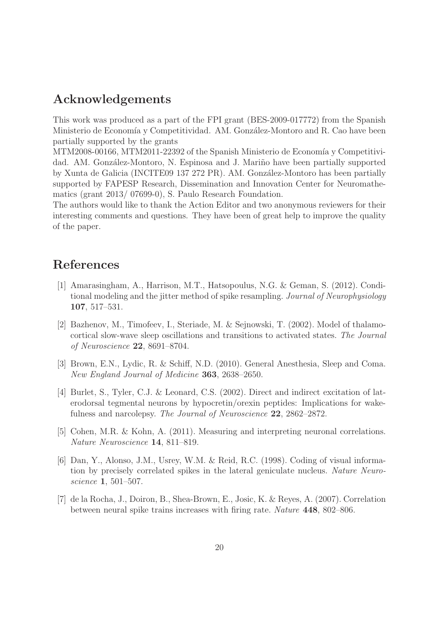# Acknowledgements

This work was produced as a part of the FPI grant (BES-2009-017772) from the Spanish Ministerio de Economía y Competitividad. AM. González-Montoro and R. Cao have been partially supported by the grants

 $MTM2008-00166$ ,  $MTM2011-22392$  of the Spanish Ministerio de Economía y Competitividad. AM. González-Montoro, N. Espinosa and J. Mariño have been partially supported by Xunta de Galicia (INCITE09 137 272 PR). AM. González-Montoro has been partially supported by FAPESP Research, Dissemination and Innovation Center for Neuromathematics (grant 2013/ 07699-0), S. Paulo Research Foundation.

The authors would like to thank the Action Editor and two anonymous reviewers for their interesting comments and questions. They have been of great help to improve the quality of the paper.

# References

- [1] Amarasingham, A., Harrison, M.T., Hatsopoulus, N.G. & Geman, S. (2012). Conditional modeling and the jitter method of spike resampling. Journal of Neurophysiology 107, 517–531.
- [2] Bazhenov, M., Timofeev, I., Steriade, M. & Sejnowski, T. (2002). Model of thalamocortical slow-wave sleep oscillations and transitions to activated states. The Journal of Neuroscience 22, 8691–8704.
- [3] Brown, E.N., Lydic, R. & Schiff, N.D. (2010). General Anesthesia, Sleep and Coma. New England Journal of Medicine 363, 2638–2650.
- [4] Burlet, S., Tyler, C.J. & Leonard, C.S. (2002). Direct and indirect excitation of laterodorsal tegmental neurons by hypocretin/orexin peptides: Implications for wakefulness and narcolepsy. The Journal of Neuroscience 22, 2862–2872.
- [5] Cohen, M.R. & Kohn, A. (2011). Measuring and interpreting neuronal correlations. Nature Neuroscience 14, 811–819.
- [6] Dan, Y., Alonso, J.M., Usrey, W.M. & Reid, R.C. (1998). Coding of visual information by precisely correlated spikes in the lateral geniculate nucleus. Nature Neuroscience 1, 501–507.
- [7] de la Rocha, J., Doiron, B., Shea-Brown, E., Josic, K. & Reyes, A. (2007). Correlation between neural spike trains increases with firing rate. Nature 448, 802–806.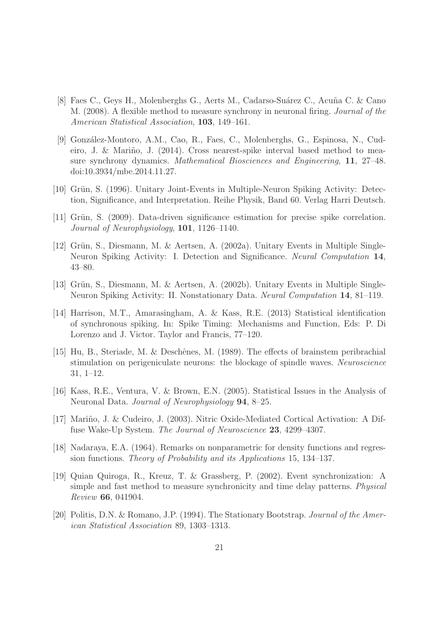- [8] Faes C., Geys H., Molenberghs G., Aerts M., Cadarso-Suárez C., Acuña C. & Cano M. (2008). A flexible method to measure synchrony in neuronal firing. Journal of the American Statistical Association, 103, 149–161.
- [9] González-Montoro, A.M., Cao, R., Faes, C., Molenberghs, G., Espinosa, N., Cudeiro, J. & Mariño, J. (2014). Cross nearest-spike interval based method to measure synchrony dynamics. Mathematical Biosciences and Engineering, 11, 27–48. doi:10.3934/mbe.2014.11.27.
- [10] Grün, S. (1996). Unitary Joint-Events in Multiple-Neuron Spiking Activity: Detection, Significance, and Interpretation. Reihe Physik, Band 60. Verlag Harri Deutsch.
- [11] Grün, S. (2009). Data-driven significance estimation for precise spike correlation. Journal of Neurophysiology, 101, 1126–1140.
- [12] Grün, S., Diesmann, M. & Aertsen, A. (2002a). Unitary Events in Multiple Single-Neuron Spiking Activity: I. Detection and Significance. Neural Computation 14, 43–80.
- [13] Grün, S., Diesmann, M. & Aertsen, A. (2002b). Unitary Events in Multiple Single-Neuron Spiking Activity: II. Nonstationary Data. Neural Computation 14, 81–119.
- [14] Harrison, M.T., Amarasingham, A. & Kass, R.E. (2013) Statistical identification of synchronous spiking. In: Spike Timing: Mechanisms and Function, Eds: P. Di Lorenzo and J. Victor. Taylor and Francis, 77–120.
- [15] Hu, B., Steriade, M. & Deschênes, M. (1989). The effects of brainstem peribrachial stimulation on perigeniculate neurons: the blockage of spindle waves. Neuroscience 31, 1–12.
- [16] Kass, R.E., Ventura, V. & Brown, E.N. (2005). Statistical Issues in the Analysis of Neuronal Data. Journal of Neurophysiology 94, 8–25.
- [17] Mariño, J. & Cudeiro, J. (2003). Nitric Oxide-Mediated Cortical Activation: A Diffuse Wake-Up System. The Journal of Neuroscience 23, 4299–4307.
- [18] Nadaraya, E.A. (1964). Remarks on nonparametric for density functions and regression functions. Theory of Probability and its Applications 15, 134–137.
- [19] Quian Quiroga, R., Kreuz, T. & Grassberg, P. (2002). Event synchronization: A simple and fast method to measure synchronicity and time delay patterns. Physical Review 66, 041904.
- [20] Politis, D.N. & Romano, J.P. (1994). The Stationary Bootstrap. Journal of the American Statistical Association 89, 1303–1313.